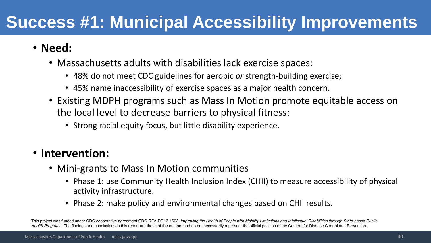## **Success #1: Municipal Accessibility Improvements**

- **Need:**
	- Massachusetts adults with disabilities lack exercise spaces:
		- 48% do not meet CDC guidelines for aerobic *or* strength-building exercise;
		- 45% name inaccessibility of exercise spaces as a major health concern.
	- Existing MDPH programs such as Mass In Motion promote equitable access on the local level to decrease barriers to physical fitness:
		- Strong racial equity focus, but little disability experience.

#### • **Intervention:**

- Mini-grants to Mass In Motion communities
	- Phase 1: use Community Health Inclusion Index (CHII) to measure accessibility of physical activity infrastructure.
	- Phase 2: make policy and environmental changes based on CHII results.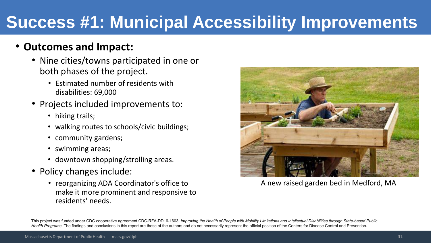# **Success #1: Municipal Accessibility Improvements**

#### • **Outcomes and Impact:**

- Nine cities/towns participated in one or both phases of the project.
	- Estimated number of residents with disabilities: 69,000
- Projects included improvements to:
	- hiking trails;
	- walking routes to schools/civic buildings;
	- community gardens;
	- swimming areas;
	- downtown shopping/strolling areas.
- Policy changes include:
	- reorganizing ADA Coordinator's office to make it more prominent and responsive to residents' needs.



A new raised garden bed in Medford, MA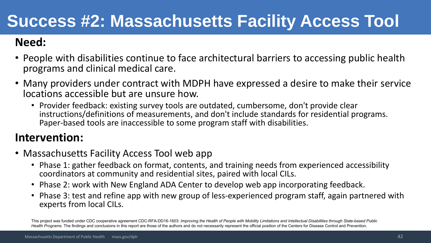### **Success #2: Massachusetts Facility Access Tool**

### **Need:**

- People with disabilities continue to face architectural barriers to accessing public health programs and clinical medical care.
- Many providers under contract with MDPH have expressed a desire to make their service locations accessible but are unsure how.
	- Provider feedback: existing survey tools are outdated, cumbersome, don't provide clear instructions/definitions of measurements, and don't include standards for residential programs. Paper-based tools are inaccessible to some program staff with disabilities.

### **Intervention:**

- Massachusetts Facility Access Tool web app
	- Phase 1: gather feedback on format, contents, and training needs from experienced accessibility coordinators at community and residential sites, paired with local CILs.
	- Phase 2: work with New England ADA Center to develop web app incorporating feedback.
	- Phase 3: test and refine app with new group of less-experienced program staff, again partnered with experts from local CILs.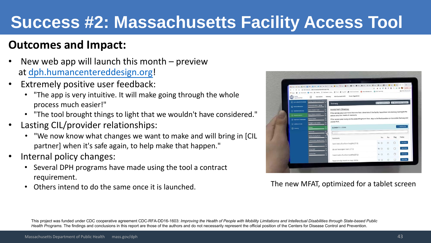- Internal policy changes:
	- Several DPH programs have made using the tool a contract requirement.
	- Others intend to do the same once it is launched.

### **Success #2: Massachusetts Facility Access Tool**

This project was funded under CDC cooperative agreement CDC-RFA-DD16-1603: *Improving the Health of People with Mobility Limitations and Intellectual Disabilities through State-based Public*  Health Programs. The findings and conclusions in this report are those of the authors and do not necessarily represent the official position of the Centers for Disease Control and Prevention.

### **Outcomes and Impact:**

- New web app will launch this month  $-$  preview at [dph.humancentereddesign.org](http://dph.humancentereddesign.org/)!
- Extremely positive user feedback:
	- "The app is very intuitive. It will make going through the whole process much easier!"
	- "The tool brought things to light that we wouldn't have considered."
- Lasting CIL/provider relationships:





#### The new MFAT, optimized for a tablet screen